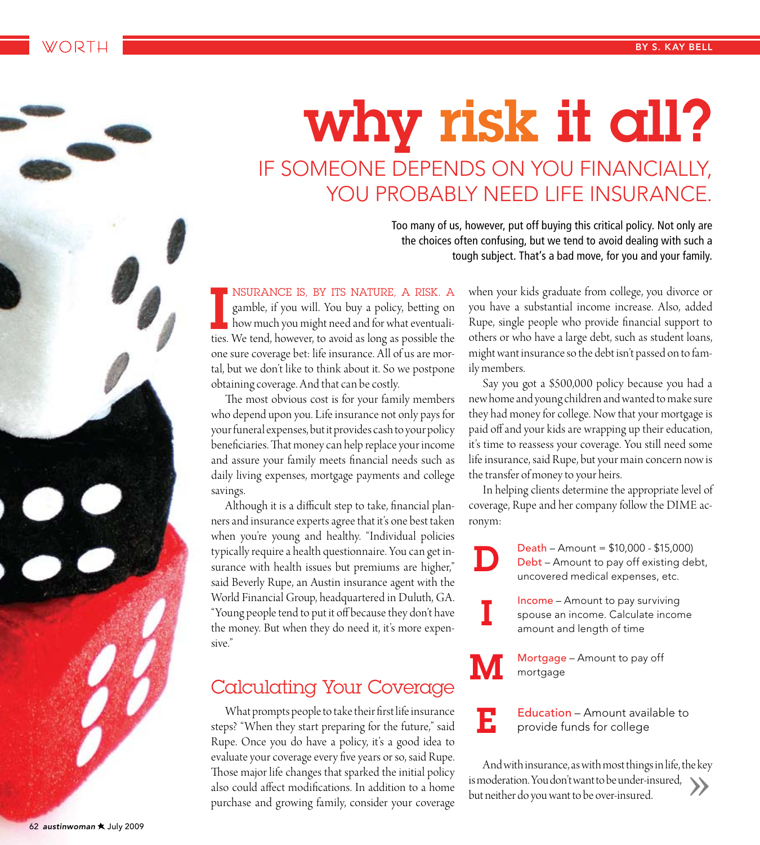# why risk it all? IF SOMEONE DEPENDS ON YOU FINANCIALLY, YOU PROBABLY NEED LIFE INSURANCE.

D

E

Too many of us, however, put off buying this critical policy. Not only are the choices often confusing, but we tend to avoid dealing with such a tough subject. That's a bad move, for you and your family.

NSURANCE IS, BY ITS NATURE, A RISK. A gamble, if you will. You buy a policy, betting on how much you might need and for what eventualities. We tend, however, to avoid as long as possible the one sure coverage bet: life insurance. All of us are mortal, but we don't like to think about it. So we postpone obtaining coverage. And that can be costly.

The most obvious cost is for your family members who depend upon you. Life insurance not only pays for your funeral expenses, but it provides cash to your policy beneficiaries. That money can help replace your income and assure your family meets financial needs such as daily living expenses, mortgage payments and college savings.

Although it is a difficult step to take, financial planners and insurance experts agree that it's one best taken when you're young and healthy. "Individual policies typically require a health questionnaire. You can get insurance with health issues but premiums are higher," said Beverly Rupe, an Austin insurance agent with the World Financial Group, headquartered in Duluth, GA. "Young people tend to put it off because they don't have the money. But when they do need it, it's more expensive."

## **Calculating Your Coverage**

What prompts people to take their first life insurance steps? "When they start preparing for the future," said Rupe. Once you do have a policy, it's a good idea to evaluate your coverage every five years or so, said Rupe. Those major life changes that sparked the initial policy also could affect modifications. In addition to a home purchase and growing family, consider your coverage

when your kids graduate from college, you divorce or you have a substantial income increase. Also, added Rupe, single people who provide financial support to others or who have a large debt, such as student loans, might want insurance so the debt isn't passed on to family members.

Say you got a \$500,000 policy because you had a new home and young children and wanted to make sure they had money for college. Now that your mortgage is paid off and your kids are wrapping up their education, it's time to reassess your coverage. You still need some life insurance, said Rupe, but your main concern now is the transfer of money to your heirs.

In helping clients determine the appropriate level of coverage, Rupe and her company follow the DIME acronym:

> Death - Amount =  $$10,000 - $15,000$ Debt - Amount to pay off existing debt, uncovered medical expenses, etc.

**Income** - Amount to pay surviving spouse an income. Calculate income amount and length of time

Mortgage - Amount to pay off mortgage

Education - Amount available to provide funds for college

And with insurance, as with most things in life, the key is moderation. You don't want to be under-insured, but neither do you want to be over-insured.